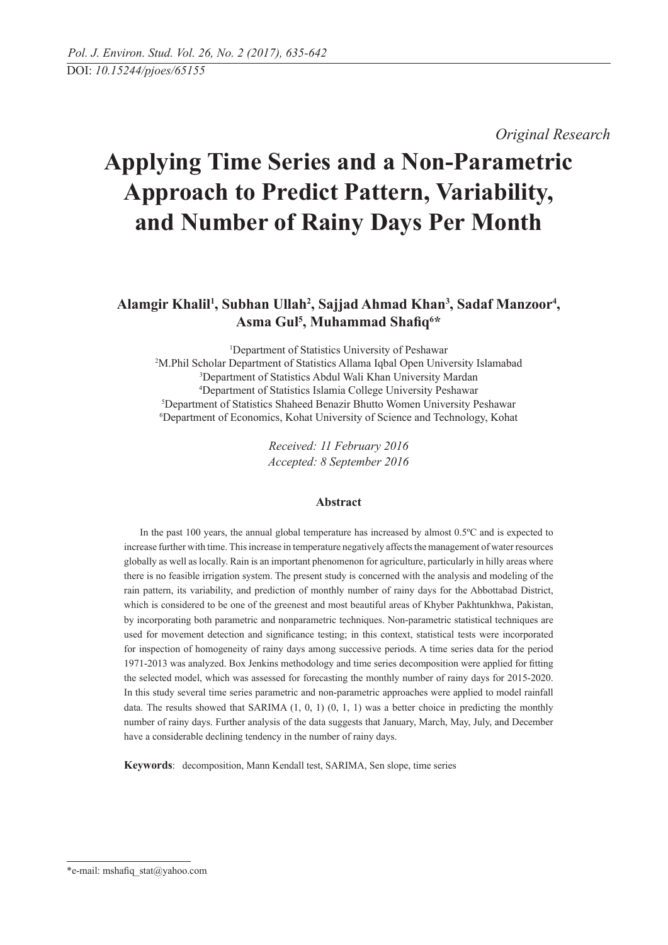*Original Research* 

# **Applying Time Series and a Non-Parametric Approach to Predict Pattern, Variability, and Number of Rainy Days Per Month**

## Alamgir Khalil<sup>1</sup>, Subhan Ullah<sup>2</sup>, Sajjad Ahmad Khan<sup>3</sup>, Sadaf Manzoor<sup>4</sup>, **Asma Gul5 , Muhammad Shafiq6 \***

 Department of Statistics University of Peshawar M.Phil Scholar Department of Statistics Allama Iqbal Open University Islamabad Department of Statistics Abdul Wali Khan University Mardan Department of Statistics Islamia College University Peshawar Department of Statistics Shaheed Benazir Bhutto Women University Peshawar Department of Economics, Kohat University of Science and Technology, Kohat

> *Received: 11 February 2016 Accepted: 8 September 2016*

## **Abstract**

In the past 100 years, the annual global temperature has increased by almost 0.5ºC and is expected to increase further with time. This increase in temperature negatively affects the management of water resources globally as well as locally. Rain is an important phenomenon for agriculture, particularly in hilly areas where there is no feasible irrigation system. The present study is concerned with the analysis and modeling of the rain pattern, its variability, and prediction of monthly number of rainy days for the Abbottabad District, which is considered to be one of the greenest and most beautiful areas of Khyber Pakhtunkhwa, Pakistan, by incorporating both parametric and nonparametric techniques. Non-parametric statistical techniques are used for movement detection and significance testing; in this context, statistical tests were incorporated for inspection of homogeneity of rainy days among successive periods. A time series data for the period 1971-2013 was analyzed. Box Jenkins methodology and time series decomposition were applied for fitting the selected model, which was assessed for forecasting the monthly number of rainy days for 2015-2020. In this study several time series parametric and non-parametric approaches were applied to model rainfall data. The results showed that SARIMA  $(1, 0, 1)$   $(0, 1, 1)$  was a better choice in predicting the monthly number of rainy days. Further analysis of the data suggests that January, March, May, July, and December have a considerable declining tendency in the number of rainy days.

**Keywords**: decomposition, Mann Kendall test, SARIMA, Sen slope, time series

<sup>\*</sup>e-mail: mshafiq\_stat@yahoo.com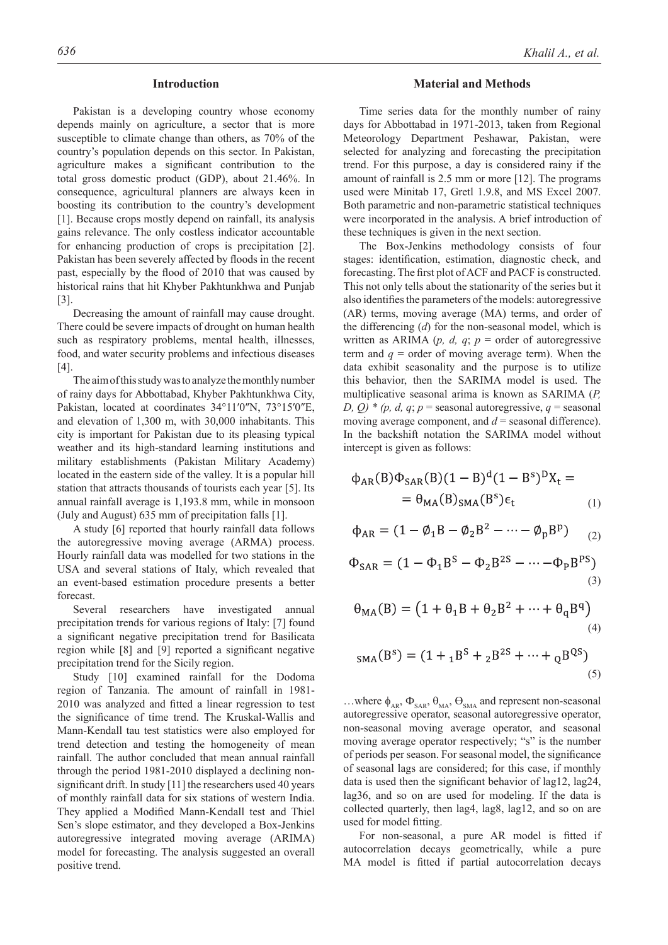## **Introduction**

Pakistan is a developing country whose economy depends mainly on agriculture, a sector that is more susceptible to climate change than others, as 70% of the country's population depends on this sector. In Pakistan, agriculture makes a significant contribution to the total gross domestic product (GDP), about 21.46%. In consequence, agricultural planners are always keen in boosting its contribution to the country's development [1]. Because crops mostly depend on rainfall, its analysis gains relevance. The only costless indicator accountable for enhancing production of crops is precipitation [2]. Pakistan has been severely affected by floods in the recent past, especially by the flood of 2010 that was caused by historical rains that hit Khyber Pakhtunkhwa and Punjab [3].

Decreasing the amount of rainfall may cause drought. There could be severe impacts of drought on human health such as respiratory problems, mental health, illnesses, food, and water security problems and infectious diseases [4].

The aim of this study was to analyze the monthly number of rainy days for Abbottabad, Khyber Pakhtunkhwa City, Pakistan, located at coordinates 34°11′0″N, 73°15′0″E, and elevation of 1,300 m, with 30,000 inhabitants. This city is important for Pakistan due to its pleasing typical weather and its high-standard learning institutions and military establishments (Pakistan Military Academy) located in the eastern side of the valley. It is a popular hill station that attracts thousands of tourists each year [5]. Its annual rainfall average is 1,193.8 mm, while in monsoon (July and August) 635 mm of precipitation falls [1].

A study [6] reported that hourly rainfall data follows the autoregressive moving average (ARMA) process. Hourly rainfall data was modelled for two stations in the USA and several stations of Italy, which revealed that an event-based estimation procedure presents a better forecast.

Several researchers have investigated annual precipitation trends for various regions of Italy: [7] found a significant negative precipitation trend for Basilicata region while [8] and [9] reported a significant negative precipitation trend for the Sicily region.

Study [10] examined rainfall for the Dodoma region of Tanzania. The amount of rainfall in 1981- 2010 was analyzed and fitted a linear regression to test the significance of time trend. The Kruskal-Wallis and Mann-Kendall tau test statistics were also employed for trend detection and testing the homogeneity of mean rainfall. The author concluded that mean annual rainfall through the period 1981-2010 displayed a declining nonsignificant drift. In study [11] the researchers used 40 years of monthly rainfall data for six stations of western India. They applied a Modified Mann-Kendall test and Thiel Sen's slope estimator, and they developed a Box-Jenkins autoregressive integrated moving average (ARIMA) model for forecasting. The analysis suggested an overall positive trend.

## **Material and Methods**

Time series data for the monthly number of rainy days for Abbottabad in 1971-2013, taken from Regional Meteorology Department Peshawar, Pakistan, were selected for analyzing and forecasting the precipitation trend. For this purpose, a day is considered rainy if the amount of rainfall is 2.5 mm or more [12]. The programs used were Minitab 17, Gretl 1.9.8, and MS Excel 2007. Both parametric and non-parametric statistical techniques were incorporated in the analysis. A brief introduction of these techniques is given in the next section.

The Box-Jenkins methodology consists of four stages: identification, estimation, diagnostic check, and forecasting. The first plot of ACF and PACF is constructed. This not only tells about the stationarity of the series but it also identifies the parameters of the models: autoregressive (AR) terms, moving average (MA) terms, and order of the differencing (*d*) for the non-seasonal model, which is written as ARIMA ( $p$ ,  $d$ ,  $q$ ;  $p$  = order of autoregressive term and  $q =$  order of moving average term). When the data exhibit seasonality and the purpose is to utilize this behavior, then the SARIMA model is used. The multiplicative seasonal arima is known as SARIMA (*P, D, Q)* \* (*p, d, q*; *p* = seasonal autoregressive, *q* = seasonal moving average component, and  $d$  = seasonal difference). In the backshift notation the SARIMA model without intercept is given as follows:

$$
\phi_{AR}(B)\Phi_{SAR}(B)(1 - B)^d(1 - B^s)^D X_t =
$$
  
=  $\theta_{MA}(B)_{SMA}(B^s)\epsilon_t$  (1)

$$
\phi_{AR} = (1 - \phi_1 B - \phi_2 B^2 - \dots - \phi_p B^p) \qquad (2)
$$

$$
\Phi_{\text{SAR}} = (1 - \Phi_1 \mathbf{B}^S - \Phi_2 \mathbf{B}^{2S} - \dots - \Phi_P \mathbf{B}^{PS})
$$
\n(3)

$$
\theta_{\text{MA}}(\text{B}) = \left(1 + \theta_1 \text{B} + \theta_2 \text{B}^2 + \dots + \theta_q \text{B}^q\right)
$$
\n(4)

$$
_{SMA}(B^{s}) = (1 + {}_{1}B^{s} + {}_{2}B^{2s} + \dots + {}_{Q}B^{QS})
$$
\n(5)

...where  $\phi_{AR}$ ,  $\Phi_{SAR}$ ,  $\theta_{MA}$ ,  $\Theta_{SMA}$  and represent non-seasonal autoregressive operator, seasonal autoregressive operator, non-seasonal moving average operator, and seasonal moving average operator respectively; "s" is the number of periods per season. For seasonal model, the significance of seasonal lags are considered; for this case, if monthly data is used then the significant behavior of lag12, lag24, lag36, and so on are used for modeling. If the data is collected quarterly, then lag4, lag8, lag12, and so on are used for model fitting.

For non-seasonal, a pure AR model is fitted if autocorrelation decays geometrically, while a pure MA model is fitted if partial autocorrelation decays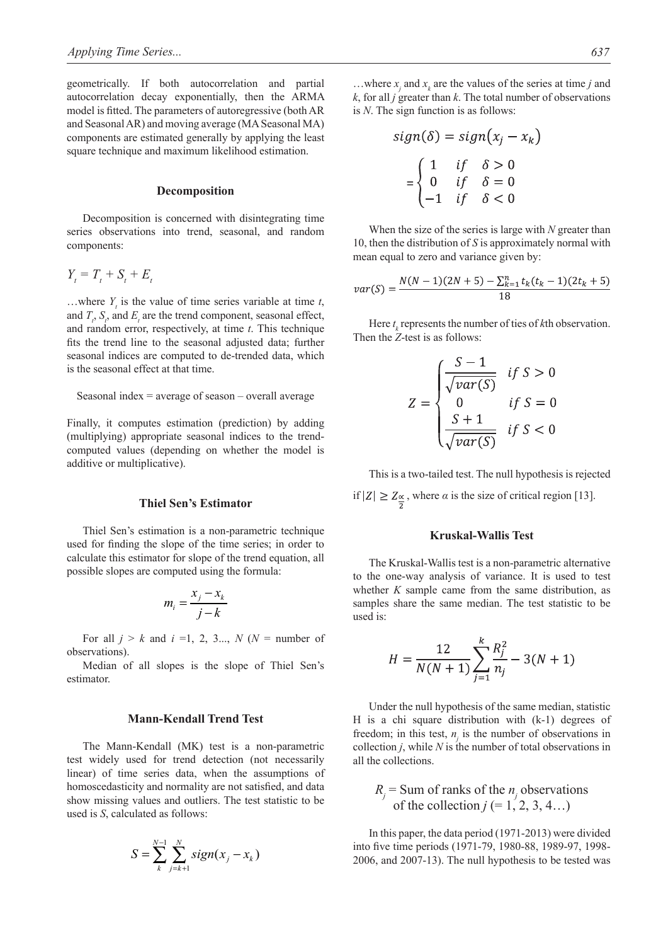geometrically. If both autocorrelation and partial autocorrelation decay exponentially, then the ARMA model is fitted. The parameters of autoregressive (both AR and Seasonal AR) and moving average (MA Seasonal MA) components are estimated generally by applying the least square technique and maximum likelihood estimation.

#### **Decomposition**

Decomposition is concerned with disintegrating time series observations into trend, seasonal, and random components:

$$
Y_t = T_t + S_t + E_t
$$

...where  $Y_t$  is the value of time series variable at time  $t$ , and  $T_t$ ,  $S_t$ , and  $E_t$  are the trend component, seasonal effect, and random error, respectively, at time *t*. This technique fits the trend line to the seasonal adjusted data; further seasonal indices are computed to de-trended data, which is the seasonal effect at that time.

#### Seasonal index  $=$  average of season  $-$  overall average

Finally, it computes estimation (prediction) by adding (multiplying) appropriate seasonal indices to the trendcomputed values (depending on whether the model is additive or multiplicative).

#### **Thiel Sen's Estimator**

Thiel Sen's estimation is a non-parametric technique used for finding the slope of the time series; in order to calculate this estimator for slope of the trend equation, all possible slopes are computed using the formula:

$$
m_i = \frac{x_j - x_k}{j - k}
$$

For all  $j > k$  and  $i = 1, 2, 3...$ ,  $N(N =$  number of observations).

Median of all slopes is the slope of Thiel Sen's estimator.

## **Mann-Kendall Trend Test**

The Mann-Kendall (MK) test is a non-parametric test widely used for trend detection (not necessarily linear) of time series data, when the assumptions of homoscedasticity and normality are not satisfied, and data show missing values and outliers. The test statistic to be used is *S*, calculated as follows:

$$
S = \sum_{k}^{N-1} \sum_{j=k+1}^{N} sign(x_j - x_k)
$$

...where  $x_j$  and  $x_k$  are the values of the series at time *j* and *k*, for all *j* greater than *k*. The total number of observations is *N*. The sign function is as follows:

$$
sign(\delta) = sign(x_j - x_k)
$$

$$
= \begin{cases} 1 & \text{if } \delta > 0 \\ 0 & \text{if } \delta = 0 \\ -1 & \text{if } \delta < 0 \end{cases}
$$

When the size of the series is large with *N* greater than 10, then the distribution of *S* is approximately normal with mean equal to zero and variance given by:

$$
var(S) = \frac{N(N-1)(2N+5) - \sum_{k=1}^{n} t_k(t_k-1)(2t_k+5)}{18}
$$

Here  $t_k$  represents the number of ties of  $k$ th observation. Then the *Z*-test is as follows:

$$
Z = \begin{cases} \frac{S-1}{\sqrt{var(S)}} & \text{if } S > 0\\ 0 & \text{if } S = 0\\ \frac{S+1}{\sqrt{var(S)}} & \text{if } S < 0 \end{cases}
$$

This is a two-tailed test. The null hypothesis is rejected if  $|Z| \ge Z_{\frac{\alpha}{2}}$ , where  $\alpha$  is the size of critical region [13].

## **Kruskal-Wallis Test**

The Kruskal-Wallis test is a non-parametric alternative to the one-way analysis of variance. It is used to test whether *K* sample came from the same distribution, as samples share the same median. The test statistic to be used is:

$$
H = \frac{12}{N(N+1)} \sum_{j=1}^{k} \frac{R_j^2}{n_j} - 3(N+1)
$$

Under the null hypothesis of the same median, statistic H is a chi square distribution with (k-1) degrees of freedom; in this test,  $n_j$  is the number of observations in collection  $j$ , while  $N$  is the number of total observations in all the collections.

$$
R_j
$$
 = Sum of ranks of the  $n_j$  observations  
of the collection  $j$  (= 1, 2, 3, 4...)

In this paper, the data period (1971-2013) were divided into five time periods (1971-79, 1980-88, 1989-97, 1998- 2006, and 2007-13). The null hypothesis to be tested was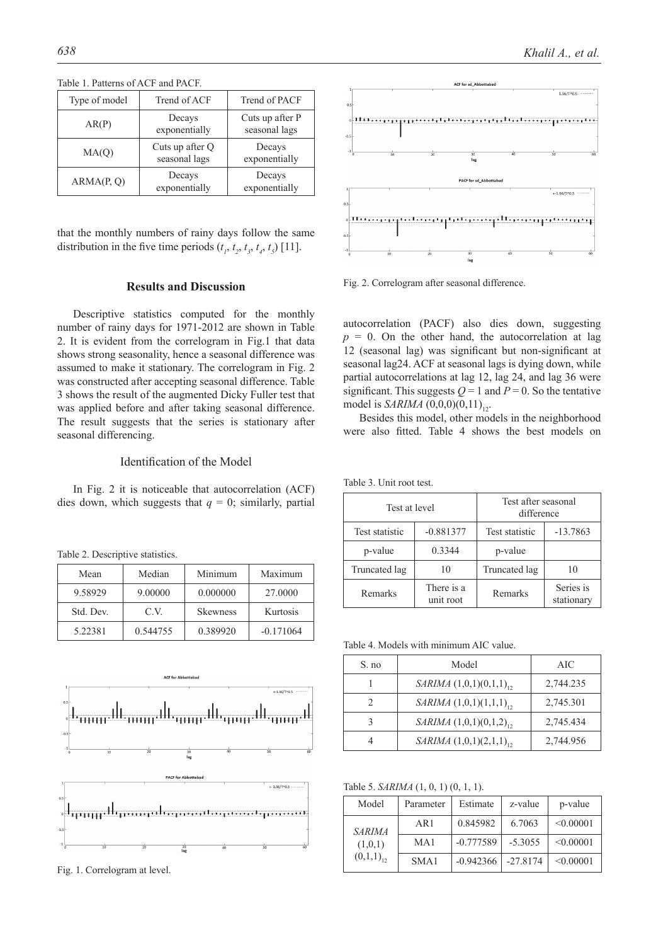| Type of model                             | Trend of ACF            | Trend of PACF                    |
|-------------------------------------------|-------------------------|----------------------------------|
| AR(P)                                     | Decays<br>exponentially | Cuts up after P<br>seasonal lags |
| Cuts up after Q<br>MA(Q)<br>seasonal lags |                         | Decays<br>exponentially          |
| ARMA(P, Q)                                | Decays<br>exponentially | Decays<br>exponentially          |

Table 1. Patterns of ACF and PACF.

that the monthly numbers of rainy days follow the same distribution in the five time periods  $(t_1, t_2, t_3, t_4, t_5)$  [11].

## **Results and Discussion**

Descriptive statistics computed for the monthly number of rainy days for 1971-2012 are shown in Table 2. It is evident from the correlogram in Fig.1 that data shows strong seasonality, hence a seasonal difference was assumed to make it stationary. The correlogram in Fig. 2 was constructed after accepting seasonal difference. Table 3 shows the result of the augmented Dicky Fuller test that was applied before and after taking seasonal difference. The result suggests that the series is stationary after seasonal differencing.

## Identification of the Model

In Fig. 2 it is noticeable that autocorrelation (ACF) dies down, which suggests that  $q = 0$ ; similarly, partial

Table 2. Descriptive statistics.

| Mean      | Median   | Minimum         | Maximum     |
|-----------|----------|-----------------|-------------|
| 9.58929   | 9.00000  | 0.000000        | 27,0000     |
| Std. Dev. | C V      | <b>Skewness</b> | Kurtosis    |
| 5.22381   | 0.544755 | 0.389920        | $-0.171064$ |



Fig. 1. Correlogram at level.



Fig. 2. Correlogram after seasonal difference.

autocorrelation (PACF) also dies down, suggesting  $p = 0$ . On the other hand, the autocorrelation at lag 12 (seasonal lag) was significant but non-significant at seasonal lag24. ACF at seasonal lags is dying down, while partial autocorrelations at lag 12, lag 24, and lag 36 were significant. This suggests  $Q = 1$  and  $P = 0$ . So the tentative model is *SARIMA*  $(0,0,0)(0,11)_{12}$ .

Besides this model, other models in the neighborhood were also fitted. Table 4 shows the best models on

Table 3. Unit root test.

| Test at level  |                         | Test after seasonal<br>difference |                         |  |
|----------------|-------------------------|-----------------------------------|-------------------------|--|
| Test statistic | $-0.881377$             | Test statistic                    | $-13.7863$              |  |
| p-value        | 0.3344                  | p-value                           |                         |  |
| Truncated lag  | 10                      | Truncated lag                     | 10                      |  |
| Remarks        | There is a<br>unit root | Remarks                           | Series is<br>stationary |  |

Table 4. Models with minimum AIC value.

| S. no | Model                        | AIC       |
|-------|------------------------------|-----------|
|       | SARIMA $(1,0,1)(0,1,1)_{12}$ | 2,744.235 |
|       | SARIMA $(1,0,1)(1,1,1)_{12}$ | 2,745.301 |
|       | SARIMA $(1,0,1)(0,1,2)_{12}$ | 2,745.434 |
|       | SARIMA $(1,0,1)(2,1,1)_{12}$ | 2,744.956 |

Table 5. *SARIMA* (1, 0, 1) (0, 1, 1).

| Model          | Parameter | Estimate    | z-value    | p-value   |
|----------------|-----------|-------------|------------|-----------|
| <b>SARIMA</b>  | AR1       | 0.845982    | 6.7063     | < 0.00001 |
| (1,0,1)        | MA1       | $-0.777589$ | $-5.3055$  | < 0.00001 |
| $(0,1,1)_{12}$ | SMA1      | $-0.942366$ | $-27.8174$ | < 0.00001 |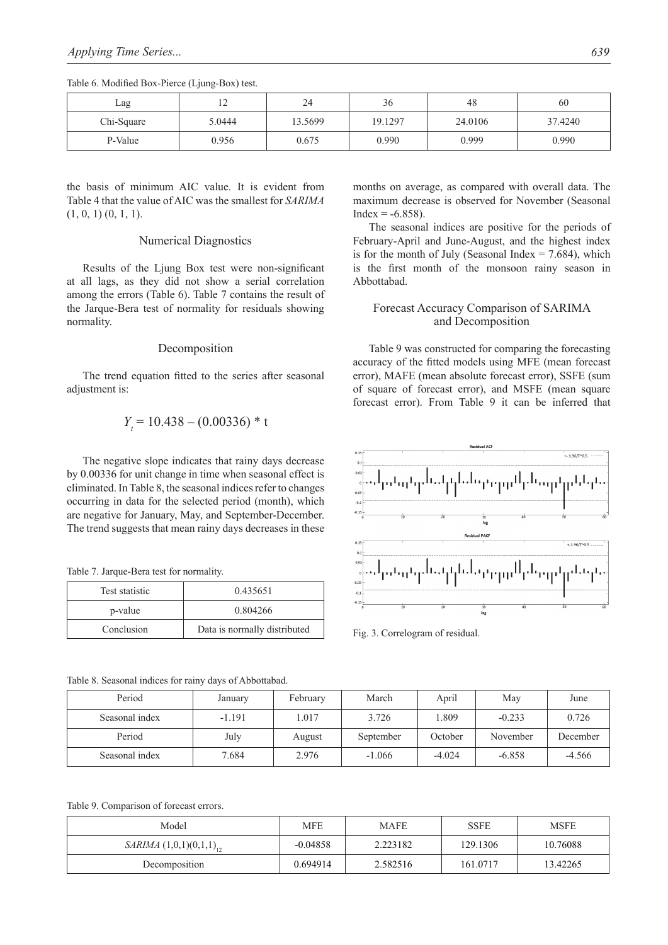| Lag        | ∸      | 24      | 36      | 48      | 60      |
|------------|--------|---------|---------|---------|---------|
| Chi-Square | 5.0444 | 13.5699 | 19.1297 | 24.0106 | 37.4240 |
| P-Value    | 0.956  | 0.675   | 0.990   | 0.999   | 0.990   |

Table 6. Modified Box-Pierce (Ljung-Box) test.

the basis of minimum AIC value. It is evident from Table 4 that the value of AIC was the smallest for *SARIMA*  $(1, 0, 1)$   $(0, 1, 1)$ .

#### Numerical Diagnostics

Results of the Ljung Box test were non-significant at all lags, as they did not show a serial correlation among the errors (Table 6). Table 7 contains the result of the Jarque-Bera test of normality for residuals showing normality.

#### Decomposition

The trend equation fitted to the series after seasonal adjustment is:

$$
Y_t = 10.438 - (0.00336) * t
$$

The negative slope indicates that rainy days decrease by 0.00336 for unit change in time when seasonal effect is eliminated. In Table 8, the seasonal indices refer to changes occurring in data for the selected period (month), which are negative for January, May, and September-December. The trend suggests that mean rainy days decreases in these

Table 7. Jarque-Bera test for normality.

| Test statistic | 0.435651                     |
|----------------|------------------------------|
| p-value        | 0.804266                     |
| Conclusion     | Data is normally distributed |

months on average, as compared with overall data. The maximum decrease is observed for November (Seasonal  $Index = -6.858$ ).

The seasonal indices are positive for the periods of February-April and June-August, and the highest index is for the month of July (Seasonal Index  $= 7.684$ ), which is the first month of the monsoon rainy season in Abbottabad.

## Forecast Accuracy Comparison of SARIMA and Decomposition

Table 9 was constructed for comparing the forecasting accuracy of the fitted models using MFE (mean forecast error), MAFE (mean absolute forecast error), SSFE (sum of square of forecast error), and MSFE (mean square forecast error). From Table 9 it can be inferred that



Fig. 3. Correlogram of residual.

| Table 8. Seasonal indices for rainy days of Abbottabad. |  |
|---------------------------------------------------------|--|
|---------------------------------------------------------|--|

| Period         | January  | February | March     | April    | May      | June     |
|----------------|----------|----------|-----------|----------|----------|----------|
| Seasonal index | $-1.191$ | 1.017    | 3.726     | l.809    | $-0.233$ | 0.726    |
| Period         | July     | August   | September | October  | November | December |
| Seasonal index | 7.684    | 2.976    | $-1.066$  | $-4.024$ | $-6.858$ | $-4.566$ |

Table 9. Comparison of forecast errors.

| Model                        | <b>MFE</b> | MAFE     | <b>SSFE</b> | <b>MSFE</b> |
|------------------------------|------------|----------|-------------|-------------|
| SARIMA $(1,0,1)(0,1,1)_{12}$ | $-0.04858$ | 2.223182 | 129.1306    | 10.76088    |
| Decomposition                | 0.694914   | 2.582516 | 161.0717    | 13.42265    |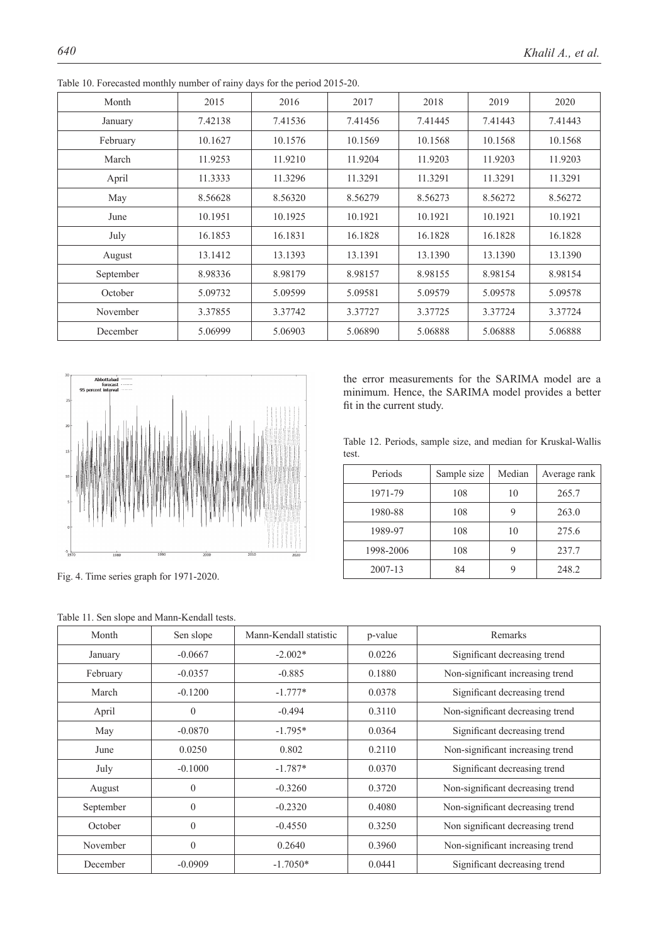| Month     | 2015    | 2016    | 2017    | 2018    | 2019    | 2020    |
|-----------|---------|---------|---------|---------|---------|---------|
| January   | 7.42138 | 7.41536 | 7.41456 | 7.41445 | 7.41443 | 7.41443 |
| February  | 10.1627 | 10.1576 | 10.1569 | 10.1568 | 10.1568 | 10.1568 |
| March     | 11.9253 | 11.9210 | 11.9204 | 11.9203 | 11.9203 | 11.9203 |
| April     | 11.3333 | 11.3296 | 11.3291 | 11.3291 | 11.3291 | 11.3291 |
| May       | 8.56628 | 8.56320 | 8.56279 | 8.56273 | 8.56272 | 8.56272 |
| June      | 10.1951 | 10.1925 | 10.1921 | 10.1921 | 10.1921 | 10.1921 |
| July      | 16.1853 | 16.1831 | 16.1828 | 16.1828 | 16.1828 | 16.1828 |
| August    | 13.1412 | 13.1393 | 13.1391 | 13.1390 | 13.1390 | 13.1390 |
| September | 8.98336 | 8.98179 | 8.98157 | 8.98155 | 8.98154 | 8.98154 |
| October   | 5.09732 | 5.09599 | 5.09581 | 5.09579 | 5.09578 | 5.09578 |
| November  | 3.37855 | 3.37742 | 3.37727 | 3.37725 | 3.37724 | 3.37724 |
| December  | 5.06999 | 5.06903 | 5.06890 | 5.06888 | 5.06888 | 5.06888 |

Table 10. Forecasted monthly number of rainy days for the period 2015-20.



Fig. 4. Time series graph for 1971-2020.

the error measurements for the SARIMA model are a minimum. Hence, the SARIMA model provides a better fit in the current study.

Table 12. Periods, sample size, and median for Kruskal-Wallis test.

| Periods   | Sample size | Median | Average rank |
|-----------|-------------|--------|--------------|
| 1971-79   | 108         | 10     | 265.7        |
| 1980-88   | 108         |        | 263.0        |
| 1989-97   | 108         | 10     | 275.6        |
| 1998-2006 | 108         |        | 237.7        |
| 2007-13   | 84          |        | 248.2        |

| Month     | Sen slope    | Mann-Kendall statistic | p-value | Remarks                          |  |
|-----------|--------------|------------------------|---------|----------------------------------|--|
| January   | $-0.0667$    | $-2.002*$              | 0.0226  | Significant decreasing trend     |  |
| February  | $-0.0357$    | $-0.885$               | 0.1880  | Non-significant increasing trend |  |
| March     | $-0.1200$    | $-1.777*$              | 0.0378  | Significant decreasing trend     |  |
| April     | $\theta$     | $-0.494$               | 0.3110  | Non-significant decreasing trend |  |
| May       | $-0.0870$    | $-1.795*$              | 0.0364  | Significant decreasing trend     |  |
| June      | 0.0250       | 0.802                  | 0.2110  | Non-significant increasing trend |  |
| July      | $-0.1000$    | $-1.787*$              | 0.0370  | Significant decreasing trend     |  |
| August    | $\mathbf{0}$ | $-0.3260$              | 0.3720  | Non-significant decreasing trend |  |
| September | $\mathbf{0}$ | $-0.2320$              | 0.4080  | Non-significant decreasing trend |  |
| October   | $\theta$     | $-0.4550$              | 0.3250  | Non significant decreasing trend |  |
| November  | $\theta$     | 0.2640                 | 0.3960  | Non-significant increasing trend |  |
| December  | $-0.0909$    | $-1.7050*$             | 0.0441  | Significant decreasing trend     |  |

Table 11. Sen slope and Mann-Kendall tests.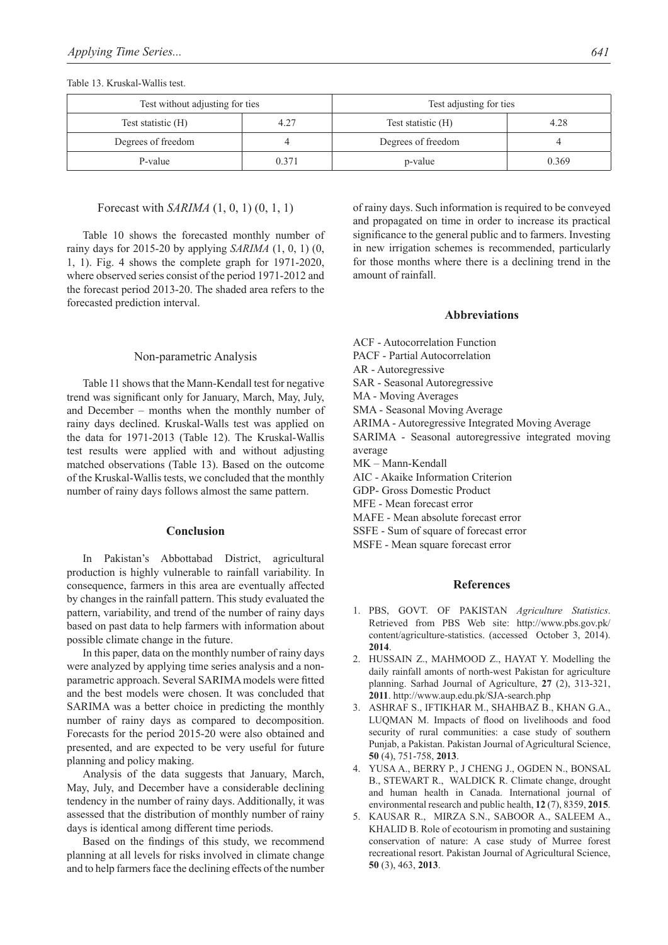### Table 13. Kruskal-Wallis test.

| Test without adjusting for ties |       | Test adjusting for ties |       |  |
|---------------------------------|-------|-------------------------|-------|--|
| Test statistic (H)              | 4.27  | Test statistic (H)      | 4.28  |  |
| Degrees of freedom              |       | Degrees of freedom      |       |  |
| P-value                         | 0.371 | p-value                 | 0.369 |  |

#### Forecast with *SARIMA* (1, 0, 1) (0, 1, 1)

Table 10 shows the forecasted monthly number of rainy days for 2015-20 by applying *SARIMA* (1, 0, 1) (0, 1, 1). Fig. 4 shows the complete graph for 1971-2020, where observed series consist of the period 1971-2012 and the forecast period 2013-20. The shaded area refers to the forecasted prediction interval.

#### Non-parametric Analysis

Table 11 shows that the Mann-Kendall test for negative trend was significant only for January, March, May, July, and December – months when the monthly number of rainy days declined. Kruskal-Walls test was applied on the data for 1971-2013 (Table 12). The Kruskal-Wallis test results were applied with and without adjusting matched observations (Table 13). Based on the outcome of the Kruskal-Wallis tests, we concluded that the monthly number of rainy days follows almost the same pattern.

#### **Conclusion**

In Pakistan's Abbottabad District, agricultural production is highly vulnerable to rainfall variability. In consequence, farmers in this area are eventually affected by changes in the rainfall pattern. This study evaluated the pattern, variability, and trend of the number of rainy days based on past data to help farmers with information about possible climate change in the future.

In this paper, data on the monthly number of rainy days were analyzed by applying time series analysis and a nonparametric approach. Several SARIMA models were fitted and the best models were chosen. It was concluded that SARIMA was a better choice in predicting the monthly number of rainy days as compared to decomposition. Forecasts for the period 2015-20 were also obtained and presented, and are expected to be very useful for future planning and policy making.

Analysis of the data suggests that January, March, May, July, and December have a considerable declining tendency in the number of rainy days. Additionally, it was assessed that the distribution of monthly number of rainy days is identical among different time periods.

Based on the findings of this study, we recommend planning at all levels for risks involved in climate change and to help farmers face the declining effects of the number of rainy days. Such information is required to be conveyed and propagated on time in order to increase its practical significance to the general public and to farmers. Investing in new irrigation schemes is recommended, particularly for those months where there is a declining trend in the amount of rainfall.

#### **Abbreviations**

ACF - Autocorrelation Function

PACF - Partial Autocorrelation

AR - Autoregressive

SAR - Seasonal Autoregressive

MA - Moving Averages

SMA - Seasonal Moving Average

ARIMA - Autoregressive Integrated Moving Average

SARIMA - Seasonal autoregressive integrated moving average

MK – Mann-Kendall

AIC - Akaike Information Criterion

GDP- Gross Domestic Product

MFE - Mean forecast error

MAFE - Mean absolute forecast error

SSFE - Sum of square of forecast error

MSFE - Mean square forecast error

## **References**

- 1. PBS, GOVT. OF PAKISTAN *Agriculture Statistics*. Retrieved from PBS Web site: http://www.pbs.gov.pk/ content/agriculture-statistics. (accessed October 3, 2014). **2014**.
- 2. HUSSAIN Z., MAHMOOD Z., HAYAT Y. Modelling the daily rainfall amonts of north-west Pakistan for agriculture planning. Sarhad Journal of Agriculture, **27** (2), 313-321, **2011**. http://www.aup.edu.pk/SJA-search.php
- 3. ASHRAF S., IFTIKHAR M., SHAHBAZ B., KHAN G.A., LUQMAN M. Impacts of flood on livelihoods and food security of rural communities: a case study of southern Punjab, a Pakistan. Pakistan Journal of Agricultural Science, **50** (4), 751-758, **2013**.
- 4. YUSA A., BERRY P., J CHENG J., OGDEN N., BONSAL B., STEWART R., WALDICK R. Climate change, drought and human health in Canada. International journal of environmental research and public health, **12** (7), 8359, **2015**.
- 5. KAUSAR R., MIRZA S.N., SABOOR A., SALEEM A., KHALID B. Role of ecotourism in promoting and sustaining conservation of nature: A case study of Murree forest recreational resort. Pakistan Journal of Agricultural Science, **50** (3), 463, **2013**.